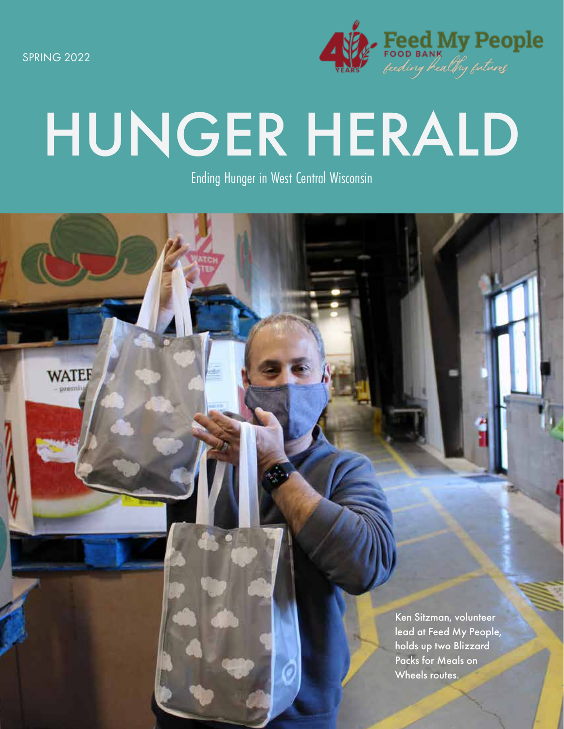SPRING 2022

**WATEF** 



# HUNGER HERALD

Ending Hunger in West Central Wisconsin

Ken Sitzman, volunteer lead at Feed My People, holds up two Blizzard Packs for Meals on Wheels routes.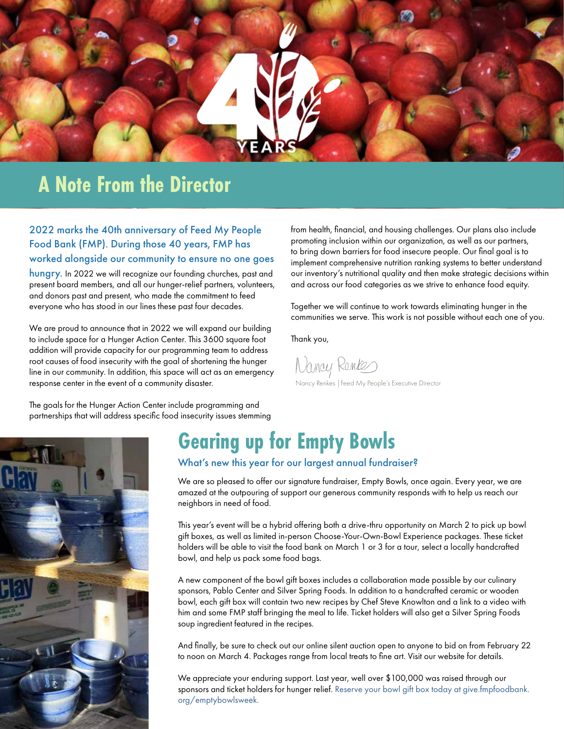

## **A Note From the Director**

2022 marks the 40th anniversary of Feed My People Food Bank (FMP). During those 40 years, FMP has worked alongside our community to ensure no one goes

hungry. In 2022 we will recognize our founding churches, past and present board members, and all our hunger-relief partners, volunteers, and donors past and present, who made the commitment to feed everyone who has stood in our lines these past four decades.

We are proud to announce that in 2022 we will expand our building to include space for a Hunger Action Center. This 3600 square foot addition will provide capacity for our programming team to address root causes of food insecurity with the goal of shortening the hunger line in our community. In addition, this space will act as an emergency response center in the event of a community disaster.

The goals for the Hunger Action Center include programming and partnerships that will address specific food insecurity issues stemming from health, financial, and housing challenges. Our plans also include promoting inclusion within our organization, as well as our partners, to bring down barriers for food insecure people. Our final goal is to implement comprehensive nutrition ranking systems to better understand our inventory's nutritional quality and then make strategic decisions within and across our food categories as we strive to enhance food equity.

Together we will continue to work towards eliminating hunger in the communities we serve. This work is not possible without each one of you.

Thank you,

Nancy Rentes Nancy Renkes |Feed My People's Executive Director



# **Gearing up for Empty Bowls**

What's new this year for our largest annual fundraiser?

We are so pleased to offer our signature fundraiser, Empty Bowls, once again. Every year, we are amazed at the outpouring of support our generous community responds with to help us reach our neighbors in need of food.

This year's event will be a hybrid offering both a drive-thru opportunity on March 2 to pick up bowl gift boxes, as well as limited in-person Choose-Your-Own-Bowl Experience packages. These ticket holders will be able to visit the food bank on March 1 or 3 for a tour, select a locally handcrafted bowl, and help us pack some food bags.

A new component of the bowl gift boxes includes a collaboration made possible by our culinary sponsors, Pablo Center and Silver Spring Foods. In addition to a handcrafted ceramic or wooden bowl, each gift box will contain two new recipes by Chef Steve Knowlton and a link to a video with him and some FMP staff bringing the meal to life. Ticket holders will also get a Silver Spring Foods soup ingredient featured in the recipes.

And finally, be sure to check out our online silent auction open to anyone to bid on from February 22 to noon on March 4. Packages range from local treats to fine art. Visit our website for details.

We appreciate your enduring support. Last year, well over \$100,000 was raised through our sponsors and ticket holders for hunger relief. Reserve your bowl gift box today at give.fmpfoodbank. org/emptybowlsweek.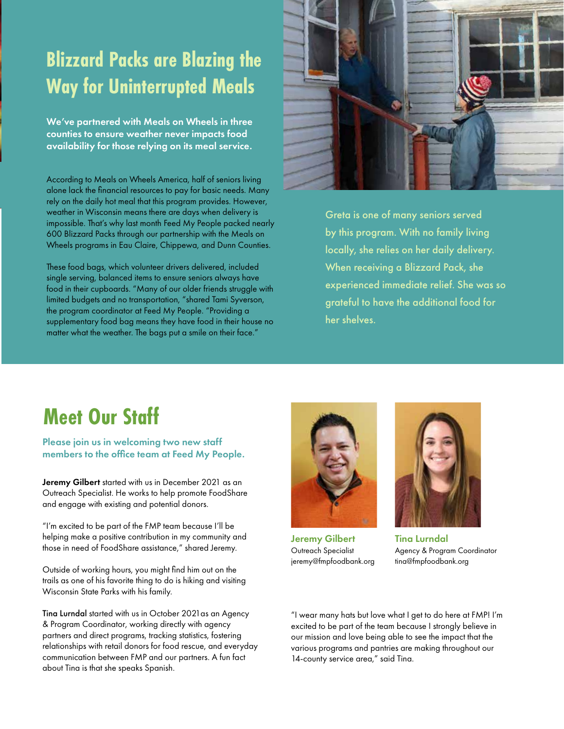# **Blizzard Packs are Blazing the Way for Uninterrupted Meals**

We've partnered with Meals on Wheels in three counties to ensure weather never impacts food availability for those relying on its meal service.

According to Meals on Wheels America, half of seniors living alone lack the financial resources to pay for basic needs. Many rely on the daily hot meal that this program provides. However, weather in Wisconsin means there are days when delivery is impossible. That's why last month Feed My People packed nearly 600 Blizzard Packs through our partnership with the Meals on Wheels programs in Eau Claire, Chippewa, and Dunn Counties.

These food bags, which volunteer drivers delivered, included single serving, balanced items to ensure seniors always have food in their cupboards. "Many of our older friends struggle with limited budgets and no transportation, "shared Tami Syverson, the program coordinator at Feed My People. "Providing a supplementary food bag means they have food in their house no matter what the weather. The bags put a smile on their face."



Greta is one of many seniors served by this program. With no family living locally, she relies on her daily delivery. When receiving a Blizzard Pack, she experienced immediate relief. She was so grateful to have the additional food for her shelves.

### **Meet Our Staff**

#### Please join us in welcoming two new staff members to the office team at Feed My People.

Jeremy Gilbert started with us in December 2021 as an Outreach Specialist. He works to help promote FoodShare and engage with existing and potential donors.

"I'm excited to be part of the FMP team because I'll be helping make a positive contribution in my community and those in need of FoodShare assistance," shared Jeremy.

Outside of working hours, you might find him out on the trails as one of his favorite thing to do is hiking and visiting Wisconsin State Parks with his family.

Tina Lurndal started with us in October 2021as an Agency & Program Coordinator, working directly with agency partners and direct programs, tracking statistics, fostering relationships with retail donors for food rescue, and everyday communication between FMP and our partners. A fun fact about Tina is that she speaks Spanish.



Jeremy Gilbert Outreach Specialist jeremy@fmpfoodbank.org



Tina Lurndal Agency & Program Coordinator tina@fmpfoodbank.org

"I wear many hats but love what I get to do here at FMP! I'm excited to be part of the team because I strongly believe in our mission and love being able to see the impact that the various programs and pantries are making throughout our 14-county service area," said Tina.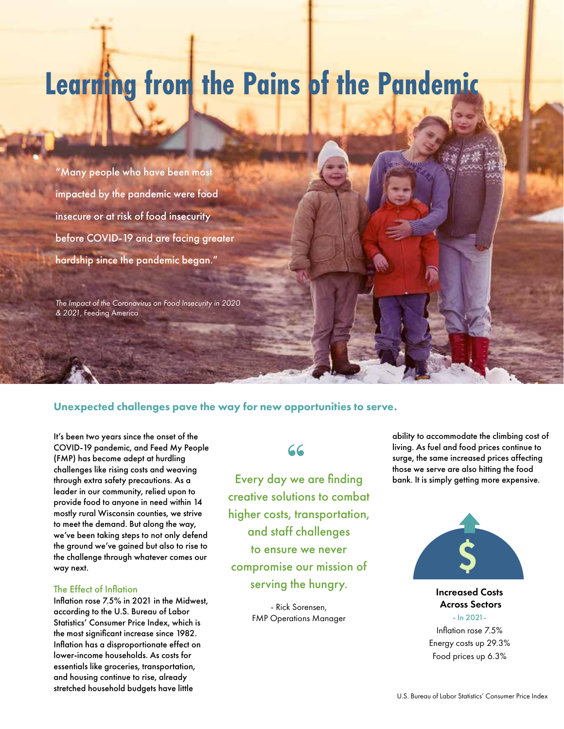# **Learning from the Pains of the Pandemic**

"Many people who have been most impacted by the pandemic were food insecure or at risk of food insecurity before COVID-19 and are facing greater hardship since the pandemic began."

*The Impact of the Coronavirus on Food Insecurity in 2020 & 2021*, Feeding America

#### Unexpected challenges pave the way for new opportunities to serve.

It's been two years since the onset of the COVID-19 pandemic, and Feed My People (FMP) has become adept at hurdling challenges like rising costs and weaving through extra safety precautions. As a leader in our community, relied upon to provide food to anyone in need within 14 mostly rural Wisconsin counties, we strive to meet the demand. But along the way, we've been taking steps to not only defend the ground we've gained but also to rise to the challenge through whatever comes our way next.

#### The Effect of Inflation

Inflation rose 7.5% in 2021 in the Midwest, according to the U.S. Bureau of Labor Statistics' Consumer Price Index, which is the most significant increase since 1982. Inflation has a disproportionate effect on lower-income households. As costs for essentials like groceries, transportation, and housing continue to rise, already stretched household budgets have little<br>U.S. Bureau of Labor Statistics' Consumer Price Index

#### **"**

creative solutions to combat higher costs, transportation, and staff challenges to ensure we never compromise our mission of serving the hungry.

> - Rick Sorensen, FMP Operations Manager

ability to accommodate the climbing cost of living. As fuel and food prices continue to surge, the same increased prices affecting those we serve are also hitting the food Every day we are finding bank. It is simply getting more expensive.



Increased Costs Across Sectors - In 2021-

Inflation rose 7.5% Energy costs up 29.3% Food prices up 6.3%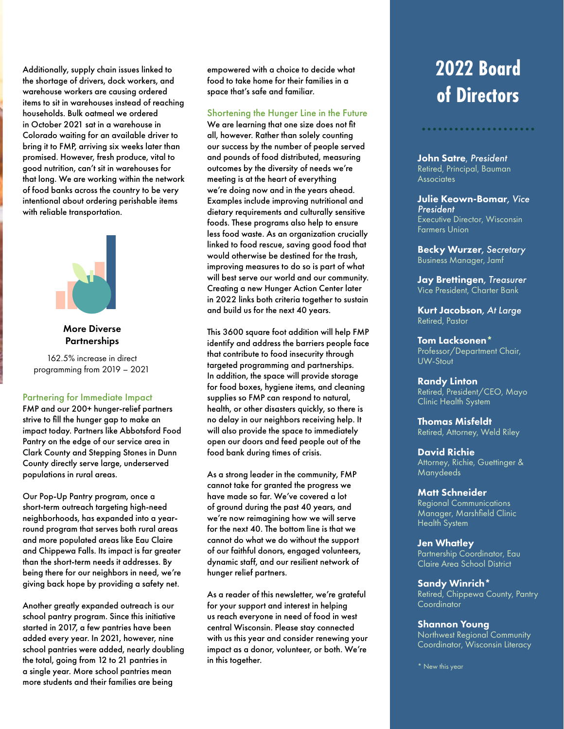Additionally, supply chain issues linked to the shortage of drivers, dock workers, and warehouse workers are causing ordered items to sit in warehouses instead of reaching households. Bulk oatmeal we ordered in October 2021 sat in a warehouse in Colorado waiting for an available driver to bring it to FMP, arriving six weeks later than promised. However, fresh produce, vital to good nutrition, can't sit in warehouses for that long. We are working within the network of food banks across the country to be very intentional about ordering perishable items with reliable transportation.



More Diverse **Partnerships** 

162.5% increase in direct programming from 2019 – 2021

#### Partnering for Immediate Impact

FMP and our 200+ hunger-relief partners strive to fill the hunger gap to make an impact today. Partners like Abbotsford Food Pantry on the edge of our service area in Clark County and Stepping Stones in Dunn County directly serve large, underserved populations in rural areas.

Our Pop-Up Pantry program, once a short-term outreach targeting high-need neighborhoods, has expanded into a yearround program that serves both rural areas and more populated areas like Eau Claire and Chippewa Falls. Its impact is far greater than the short-term needs it addresses. By being there for our neighbors in need, we're giving back hope by providing a safety net.

Another greatly expanded outreach is our school pantry program. Since this initiative started in 2017, a few pantries have been added every year. In 2021, however, nine school pantries were added, nearly doubling the total, going from 12 to 21 pantries in a single year. More school pantries mean more students and their families are being

empowered with a choice to decide what food to take home for their families in a space that's safe and familiar.

#### Shortening the Hunger Line in the Future

We are learning that one size does not fit all, however. Rather than solely counting our success by the number of people served and pounds of food distributed, measuring outcomes by the diversity of needs we're meeting is at the heart of everything we're doing now and in the years ahead. Examples include improving nutritional and dietary requirements and culturally sensitive foods. These programs also help to ensure less food waste. As an organization crucially linked to food rescue, saving good food that would otherwise be destined for the trash, improving measures to do so is part of what will best serve our world and our community. Creating a new Hunger Action Center later in 2022 links both criteria together to sustain and build us for the next 40 years.

e me space 10 immediately<br>LC LL LL LL LL LL open our doors and feed people out of the<br>Canal Pantricipal Canada This 3600 square foot addition will help FMP identify and address the barriers people face that contribute to food insecurity through targeted programming and partnerships. In addition, the space will provide storage for food boxes, hygiene items, and cleaning supplies so FMP can respond to natural, health, or other disasters quickly, so there is no delay in our neighbors receiving help. It will also provide the space to immediately food bank during times of crisis.

As a strong leader in the community, FMP cannot take for granted the progress we have made so far. We've covered a lot of ground during the past 40 years, and we're now reimagining how we will serve for the next 40. The bottom line is that we cannot do what we do without the support of our faithful donors, engaged volunteers, dynamic staff, and our resilient network of hunger relief partners.

As a reader of this newsletter, we're grateful for your support and interest in helping us reach everyone in need of food in west central Wisconsin. Please stay connected with us this year and consider renewing your impact as a donor, volunteer, or both. We're in this together.

# **2022 Board of Directors**

John Satre, *President*  Retired, Principal, Bauman **Associates** 

Julie Keown-Bomar*, Vice President* Executive Director, Wisconsin Farmers Union

Becky Wurzer*, Secretary* Business Manager, Jamf

Jay Brettingen*, Treasurer* Vice President, Charter Bank

Kurt Jacobson*, At Large* Retired, Pastor

Tom Lacksonen\* Professor/Department Chair, UW-Stout

Randy Linton Retired, President/CEO, Mayo Clinic Health System

Thomas Misfeldt Retired, Attorney, Weld Riley

David Richie Attorney, Richie, Guettinger & Manydeeds

#### Matt Schneider

Regional Communications Manager, Marshfield Clinic Health System

Jen Whatley Partnership Coordinator, Eau Claire Area School District

Sandy Winrich\* Retired, Chippewa County, Pantry **Coordinator** 

Shannon Young Northwest Regional Community Coordinator, Wisconsin Literacy

\* New this year